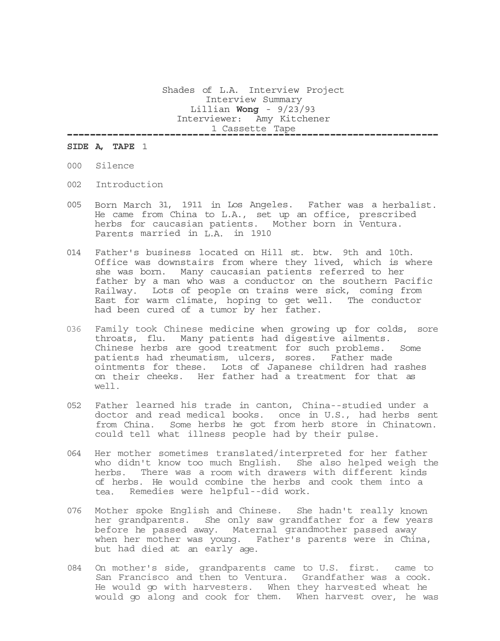Shades of L.A. Interview Project Interview Summary Lillian **Wong** - 9/23/93 Interviewer: Amy Kitchener 1 Cassette Tape -----------------------------------------------------------------

## **SIDE A, TAPE** 1

- 000 Silence
- 002 Introduction
- 005 Born March 31, 1911 in Los Angeles. Father was a herbalist. He came from China to L.A., set up an office, prescribed herbs for caucasian patients. Mother born in Ventura. Parents married in L.A. in 1910
- 014 Father's business located on Hill st. btw. 9th and 10th. Office was downstairs from where they lived, which is where she was born. Many caucasian patients referred to her father by a man who was a conductor on the southern Pacific Railway. Lots of people on trains were sick, coming from East for warm climate, hoping to get well. The conductor had been cured of a tumor by her father.
- 036 Family took Chinese medicine when growing up for colds, sore throats, flu. Many patients had digestive ailments. Chinese herbs are good treatment for such problems. Some patients had rheumatism, ulcers, sores. Father made ointments for these. Lots of Japanese children had rashes on their cheeks. Her father had a treatment for that as well.
- 052 Father learned his trade in canton, China--studied under a doctor and read medical books. once in U.S., had herbs sent from China. Some herbs he got from herb store in Chinatown. could tell what illness people had by their pulse.
- 064 Her mother sometimes translated/interpreted for her father who didn't know too much English. She also helped weigh the herbs. There was a room with drawers with different kinds of herbs. He would combine the herbs and cook them into a tea. Remedies were helpful--did work.
- 076 Mother spoke English and Chinese. She hadn't really known her grandparents. She only saw grandfather for a few years before he passed away. Maternal grandmother passed away when her mother was young. Father's parents were in China, but had died at an early age.
- 084 On mother's side, grandparents came to U.S. first. came to San Francisco and then to Ventura. Grandfather was a cook. He would go with harvesters. When they harvested wheat he would go along and cook for them. When harvest over, he was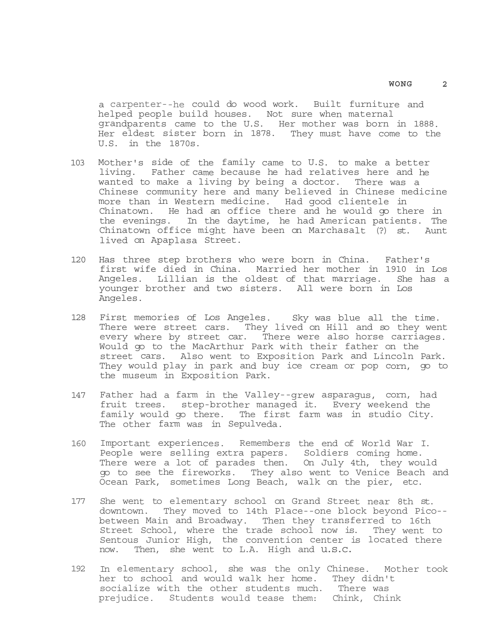a carpenter--he could do wood work. Built furniture and helped people build houses. Not sure when maternal grandparents came to the U.S. Her mother was born in 1888. Her eldest sister born in 1878. They must have come to the U.S. in the 1870s.

- 103 Mother's side of the family came to U.S. to make a better living. Father came because he had relatives here and he wanted to make a living by being a doctor. There was a Chinese community here and many believed in Chinese medicine more than in Western medicine. Had good clientele in Chinatown. He had an office there and he would go there in the evenings. In the daytime, he had American patients. The Chinatown office might have been on Marchasalt (?) st. Aunt lived on Apaplasa Street.
- 120 Has three step brothers who were born in China. Father's first wife died in China. Married her mother in 1910 in Los Angeles. Lillian is the oldest of that marriage. She has a younger brother and two sisters. All were born in Los Angeles.
- 128 First memories of Los Angeles. Sky was blue all the time. There were street cars. They lived on Hill and so they went every where by street car. There were also horse carriages. Would go to the MacArthur Park with their father on the street cars. Also went to Exposition Park and Lincoln Park. They would play in park and buy ice cream or pop corn, go to the museum in Exposition Park.
- 147 Father had a farm in the Valley--grew asparagus, corn, had fruit trees. step-brother managed it. Every weekend the family would go there. The first farm was in studio City. The other farm was in Sepulveda.
- 160 Important experiences. Remembers the end of World War I. People were selling extra papers. Soldiers coming home. There were a lot of parades then. On July 4th, they would go to see the fireworks. They also went to Venice Beach and Ocean Park, sometimes Long Beach, walk on the pier, etc.
- 177 She went to elementary school on Grand Street near 8th st. downtown. They moved to 14th Place--one block beyond Pico- between Main and Broadway. Then they transferred to 16th Street School, where the trade school now is. They went to Sentous Junior High, the convention center is located there now. Then, she went to L.A. High and u.s.c.
- 192 In elementary school, she was the only Chinese. Mother took her to school and would walk her home. They didn't socialize with the other students much. There was prejudice. Students would tease them: Chink, Chink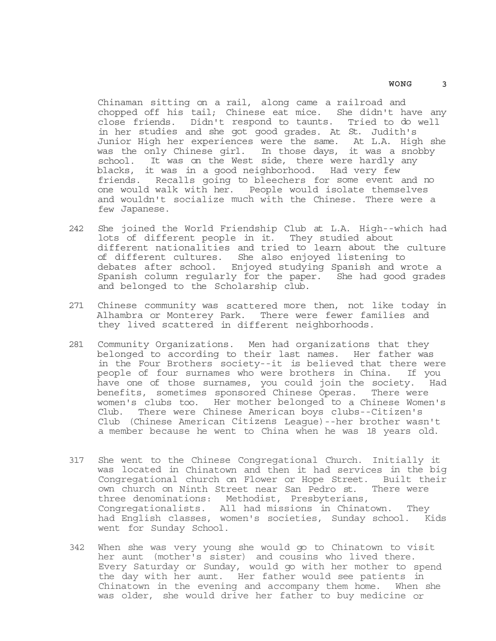Chinaman sitting on a rail, along came a railroad and chopped off his tail; Chinese eat mice. She didn't have any close friends. Didn't respond to taunts. Tried to do well in her studies and she got good grades. At St. Judith's Junior High her experiences were the same. At L.A. High she was the only Chinese girl. In those days, it was a snobby school. It was on the West side, there were hardly any blacks, it was in a good neighborhood. Had very few friends. Recalls going to bleechers for some event and no one would walk with her. People would isolate themselves and wouldn't socialize much with the Chinese. There were a few Japanese.

- 242 She joined the World Friendship Club at L.A. High--which had lots of different people in it. They studied about different nationalities and tried to learn about the culture of different cultures. She also enjoyed listening to debates after school. Enjoyed studying Spanish and wrote a Spanish column regularly for the paper. She had good grades and belonged to the Scholarship club.
- 271 Chinese community was scattered more then, not like today in Alhambra or Monterey Park. There were fewer families and they lived scattered in different neighborhoods.
- 281 Community Organizations. Men had organizations that they belonged to according to their last names. Her father was in the Four Brothers society--it is believed that there were people of four surnames who were brothers in China. If you have one of those surnames, you could join the society. Had benefits, sometimes sponsored Chinese Operas. There were women's clubs too. Her mother belonged to a Chinese Women's Club. There were Chinese American boys clubs--Citizen's Club (Chinese American Citizens League)--her brother wasn't a member because he went to China when he was 18 years old.
- 317 She went to the Chinese Congregational Church. Initially it was located in Chinatown and then it had services in the big Congregational church on Flower or Hope Street. Built their own church on Ninth Street near San Pedro st. There were three denominations: Methodist, Presbyterians, Congregationalists. All had missions in Chinatown. They had English classes, women's societies, Sunday school. Kids went for Sunday School.
- 342 When she was very young she would go to Chinatown to visit her aunt (mother's sister) and cousins who lived there. Every Saturday or Sunday, would go with her mother to spend the day with her aunt. Her father would see patients in Chinatown in the evening and accompany them home. When she was older, she would drive her father to buy medicine or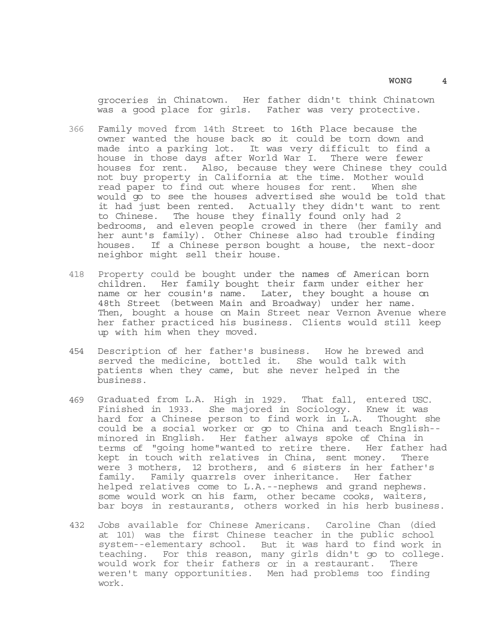groceries in Chinatown. Her father didn't think Chinatown was a good place for girls. Father was very protective.

- 366 Family moved from 14th Street to 16th Place because the owner wanted the house back so it could be torn down and made into a parking lot. It was very difficult to find a house in those days after World War I. There were fewer houses for rent. Also, because they were Chinese they could not buy property in California at the time. Mother would read paper to find out where houses for rent. When she would go to see the houses advertised she would be told that it had just been rented. Actually they didn't want to rent to Chinese. The house they finally found only had 2 bedrooms, and eleven people crowed in there (her family and her aunt's family). Other Chinese also had trouble finding houses. If a Chinese person bought a house, the next-door neighbor might sell their house.
- 418 Property could be bought under the names of American born children. Her family bought their farm under either her name or her cousin's name. Later, they bought a house on 48th Street (between Main and Broadway) under her name. Then, bought a house on Main Street near Vernon Avenue where her father practiced his business. Clients would still keep up with him when they moved.
- 454 Description of her father's business. How he brewed and served the medicine, bottled it. She would talk with patients when they came, but she never helped in the business.
- 469 Graduated from L.A. High in 1929. That fall, entered USC. Finished in 1933. She majored in Sociology. Knew it was hard for a Chinese person to find work in L.A. Thought she could be a social worker or go to China and teach English- minored in English. Her father always spoke of China in terms of "going home"wanted to retire there. Her father had kept in touch with relatives in China, sent money. There were 3 mothers, 12 brothers, and 6 sisters in her father's family. Family quarrels over inheritance. Her father helped relatives come to L.A.--nephews and grand nephews. some would work on his farm, other became cooks, waiters, bar boys in restaurants, others worked in his herb business.
- 432 Jobs available for Chinese Americans. Caroline Chan (died at 101) was the first Chinese teacher in the public school system--elementary school. But it was hard to find work in teaching. For this reason, many girls didn't go to college. would work for their fathers or in a restaurant. There weren't many opportunities. Men had problems too finding work.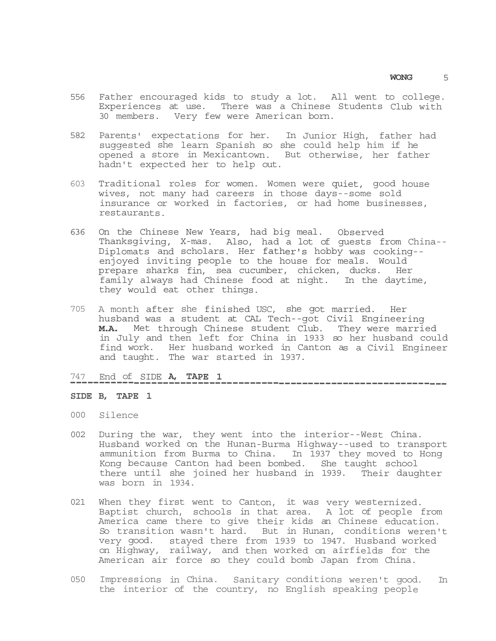- 556 Father encouraged kids to study a lot. All went to college. Experiences at use. There was a Chinese Students Club with 30 members. Very few were American born.
- 582 Parents' expectations for her. In Junior High, father had suggested she learn Spanish so she could help him if he opened a store in Mexicantown. But otherwise, her father hadn't expected her to help out.
- 603 Traditional roles for women. Women were quiet, good house wives, not many had careers in those days--some sold insurance or worked in factories, or had home businesses, restaurants.
- 636 On the Chinese New Years, had big meal. Observed Thanksgiving, X-mas. Also, had a lot of guests from China-- Diplomats and scholars. Her father's hobby was cooking- enjoyed inviting people to the house for meals. Would prepare sharks fin, sea cucumber, chicken, ducks. Her family always had Chinese food at night. In the daytime, they would eat other things.
- 705 A month after she finished USC, she got married. Her husband was a student at CAL Tech--got Civil Engineering **M.A.** Met through Chinese student Club. They were married in July and then left for China in 1933 so her husband could find work. Her husband worked in Canton as a Civil Engineer and taught. The war started in 1937.

-----------------------------------------------------------------

# 747 End of SIDE **A, TAPE 1**

### **SIDE B, TAPE 1**

- 000 Silence
- 002 During the war, they went into the interior--West China. Husband worked on the Hunan-Burma Highway--used to transport ammunition from Burma to China. In 1937 they moved to Hong Kong because Canton had been bombed. She taught school there until she joined her husband in 1939. Their daughter was born in 1934.
- 021 When they first went to Canton, it was very westernized. Baptist church, schools in that area. A lot of people from America came there to give their kids an Chinese education. So transition wasn't hard. But in Hunan, conditions weren't very good. stayed there from 1939 to 1947. Husband worked on Highway, railway, and then worked on airfields for the American air force so they could bomb Japan from China.
- 050 Impressions in China. Sanitary conditions weren't good. In the interior of the country, no English speaking people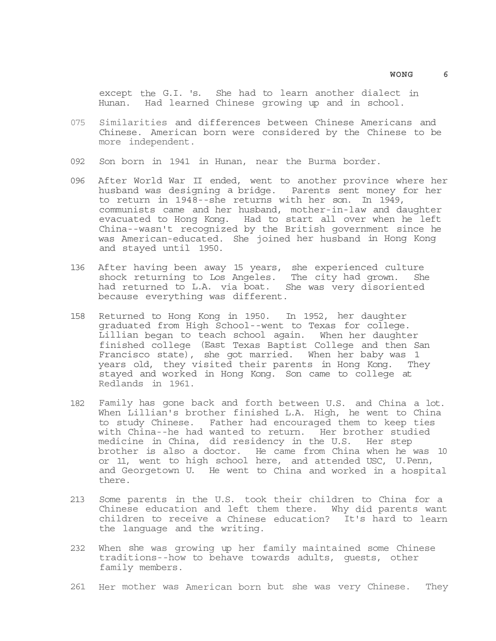except the G.I. 's. She had to learn another dialect in Hunan. Had learned Chinese growing up and in school.

- 075 Similarities and differences between Chinese Americans and Chinese. American born were considered by the Chinese to be more independent.
- 092 Son born in 1941 in Hunan, near the Burma border.
- 096 After World War II ended, went to another province where her husband was designing a bridge. Parents sent money for her to return in 1948--she returns with her son. In 1949, communists came and her husband, mother-in-law and daughter evacuated to Hong Kong. Had to start all over when he left China--wasn't recognized by the British government since he was American-educated. She joined her husband in Hong Kong and stayed until 1950.
- 136 After having been away 15 years, she experienced culture shock returning to Los Angeles. The city had grown. She had returned to L.A. via boat. She was very disoriented because everything was different.
- 158 Returned to Hong Kong in 1950. In 1952, her daughter graduated from High School--went to Texas for college. Lillian began to teach school again. When her daughter finished college (East Texas Baptist College and then San Francisco state), she got married. When her baby was 1 years old, they visited their parents in Hong Kong. They stayed and worked in Hong Kong. Son came to college at Redlands in 1961.
- 182 Family has gone back and forth between U.S. and China a lot. When Lillian's brother finished L.A. High, he went to China<br>to study Chinese. Father had encouraged them to keep ties Father had encouraged them to keep ties with China--he had wanted to return. Her brother studied medicine in China, did residency in the U.S. Her step brother is also a doctor. He came from China when he was 10 or 11, went to high school here, and attended USC, U.Penn, and Georgetown U. He went to China and worked in a hospital there.
- 213 Some parents in the U.S. took their children to China for a Chinese education and left them there. Why did parents want children to receive a Chinese education? It's hard to learn the language and the writing.
- 232 When she was growing up her family maintained some Chinese traditions--how to behave towards adults, guests, other family members.
- 261 Her mother was American born but she was very Chinese. They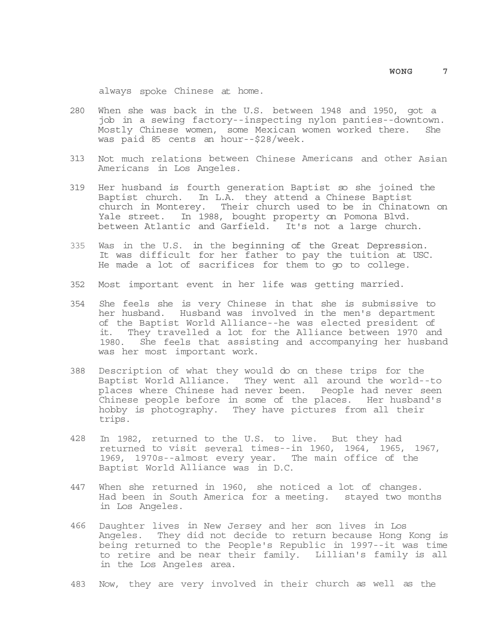always spoke Chinese at home.

- 280 When she was back in the U.S. between 1948 and 1950, got a job in a sewing factory--inspecting nylon panties--downtown. Mostly Chinese women, some Mexican women worked there. She was paid 85 cents an hour--\$28/week.
- 313 Not much relations between Chinese Americans and other Asian Americans in Los Angeles.
- 319 Her husband is fourth generation Baptist so she joined the Baptist church. In L.A. they attend a Chinese Baptist church in Monterey. Their church used to be in Chinatown on Yale street. In 1988, bought property on Pomona Blvd. between Atlantic and Garfield. It's not a large church.
- 335 Was in the U.S. in the beginning of the Great Depression. It was difficult for her father to pay the tuition at USC. He made a lot of sacrifices for them to go to college.
- 352 Most important event in her life was getting married.
- 354 She feels she is very Chinese in that she is submissive to her husband. Husband was involved in the men's department of the Baptist World Alliance--he was elected president of it. They travelled a lot for the Alliance between 1970 and 1980. She feels that assisting and accompanying her husband was her most important work.
- 388 Description of what they would do on these trips for the Baptist World Alliance. They went all around the world--to places where Chinese had never been. People had never seen Chinese people before in some of the places. Her husband's hobby is photography. They have pictures from all their trips.
- 428 In 1982, returned to the U.S. to live. But they had returned to visit several times--in 1960, 1964, 1965, 1967, 1969, 1970s--almost every year. The main office of the Baptist World Alliance was in D.C.
- 447 When she returned in 1960, she noticed a lot of changes. Had been in South America for a meeting. stayed two months in Los Angeles.
- 466 Daughter lives in New Jersey and her son lives in Los Angeles. They did not decide to return because Hong Kong is being returned to the People's Republic in 1997--it was time to retire and be near their family. Lillian's family is all in the Los Angeles area.
- 483 Now, they are very involved in their church as well as the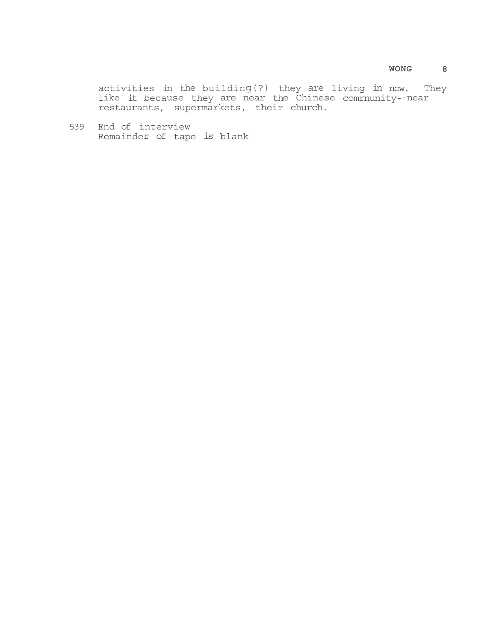activities in the building(?) they are living in now. They like it because they are near the Chinese comrnunity--near restaurants, supermarkets, their church.

539 End of interview Remainder of tape is blank

### **WONG 8**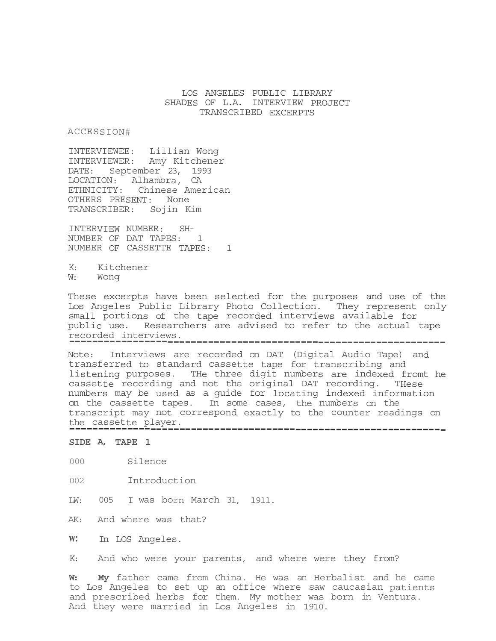# LOS ANGELES PUBLIC LIBRARY SHADES OF L.A. INTERVIEW PROJECT TRANSCRIBED EXCERPTS

ACCESSION#

INTERVIEWEE: Lillian Wong INTERVIEWER: Amy Kitchener DATE: September 23, 1993 LOCATION: Alhambra, CA ETHNICITY: Chinese American OTHERS PRESENT: None TRANSCRIBER: Sojin Kim

INTERVIEW NUMBER: SH-NUMBER OF DAT TAPES: 1 NUMBER OF CASSETTE TAPES: 1

K: Kitchener W: Wong

These excerpts have been selected for the purposes and use of the Los Angeles Public Library Photo Collection. They represent only small portions of the tape recorded interviews available for public use. Researchers are advised to refer to the actual tape recorded interviews. -----------------------------------------------------------------

Note: Interviews are recorded on DAT (Digital Audio Tape) and transferred to standard cassette tape for transcribing and listening purposes. THe three digit numbers are indexed fromt he cassette recording and not the original DAT recording. THese numbers may be used as a guide for locating indexed information on the cassette tapes. In some cases, the numbers on the transcript may not correspond exactly to the counter readings on the cassette player. -----------------------------------------------------------------

**SIDE A, TAPE 1** 

- 000 Silence
- 002 Introduction

LW: 005 I was born March 31, 1911.

AK: And where was that?

**w:** In LOS Angeles.

K: And who were your parents, and where were they from?

**W: My** father came from China. He was an Herbalist and he came to Los Angeles to set up an office where saw caucasian patients and prescribed herbs for them. My mother was born in Ventura. And they were married in Los Angeles in 1910.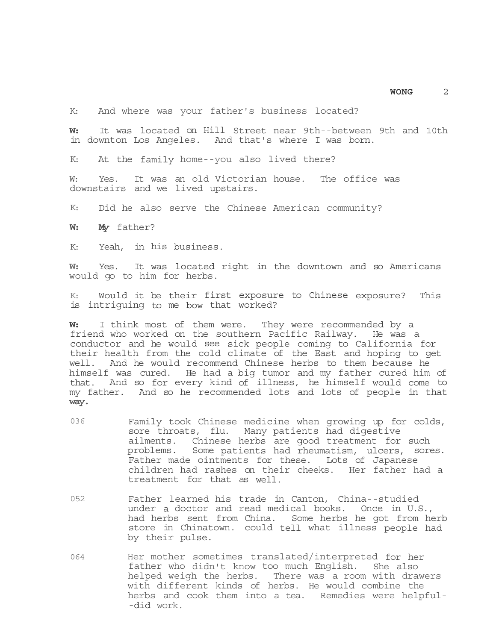K: And where was your father's business located?

**W:** It was located on Hill Street near 9th--between 9th and 10th in downton Los Angeles. And that's where I was born.

K: At the family home--you also lived there?

W: Yes. It was an old Victorian house. The office was downstairs and we lived upstairs.

K: Did he also serve the Chinese American community?

**W: My** father?

K: Yeah, in his business.

**W:** Yes. It was located right in the downtown and so Americans would go to him for herbs.

K: Would it be their first exposure to Chinese exposure? This is intriguing to me bow that worked?

**W:** I think most of them were. They were recommended by a friend who worked on the southern Pacific Railway. He was a conductor and he would see sick people coming to California for their health from the cold climate of the East and hoping to get well. And he would recommend Chinese herbs to them because he himself was cured. He had a big tumor and my father cured him of that. And so for every kind of illness, he himself would come to my father. And so he recommended lots and lots of people in that **way.** 

- 036 Family took Chinese medicine when growing up for colds, sore throats, flu. Many patients had digestive ailments. Chinese herbs are good treatment for such problems. Some patients had rheumatism, ulcers, sores. Father made ointments for these. Lots of Japanese children had rashes on their cheeks. Her father had a treatment for that as well.
- 052 Father learned his trade in Canton, China--studied under a doctor and read medical books. Once in U.S.,<br>had herbs sent from China. Some herbs he qot from herb had herbs sent from China. store in Chinatown. could tell what illness people had by their pulse.
- 064 Her mother sometimes translated/interpreted for her father who didn't know too much English. She also helped weigh the herbs. There was a room with drawers with different kinds of herbs. He would combine the herbs and cook them into a tea. Remedies were helpful- -did work.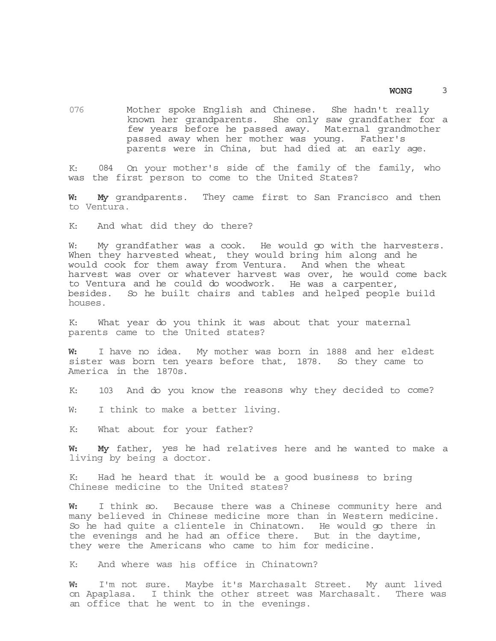076 Mother spoke English and Chinese. She hadn't really known her grandparents. She only saw grandfather for a few years before he passed away. Maternal grandmother passed away when her mother was young. Father's parents were in China, but had died at an early age.

K: 084 On your mother's side of the family of the family, who was the first person to come to the United States?

**W: My** grandparents. They came first to San Francisco and then to Ventura.

K: And what did they do there?

W: My grandfather was a cook. He would go with the harvesters. When they harvested wheat, they would bring him along and he would cook for them away from Ventura. And when the wheat harvest was over or whatever harvest was over, he would come back to Ventura and he could do woodwork. He was a carpenter, besides. So he built chairs and tables and helped people build houses.

K: What year do you think it was about that your maternal parents came to the United states?

**W:** I have no idea. My mother was born in 1888 and her eldest sister was born ten years before that, 1878. So they came to America in the 1870s.

K: 103 And do you know the reasons why they decided to come?

W: I think to make a better living.

K: What about for your father?

**W: My** father, yes he had relatives here and he wanted to make a living by being a doctor.

K: Had he heard that it would be a good business to bring Chinese medicine to the United states?

**W:** I think so. Because there was a Chinese community here and many believed in Chinese medicine more than in Western medicine. So he had quite a clientele in Chinatown. He would go there in the evenings and he had an office there. But in the daytime, they were the Americans who came to him for medicine.

K: And where was his office in Chinatown?

**W:** I'm not sure. Maybe it's Marchasalt Street. My aunt lived on Apaplasa. I think the other street was Marchasalt. There was an office that he went to in the evenings.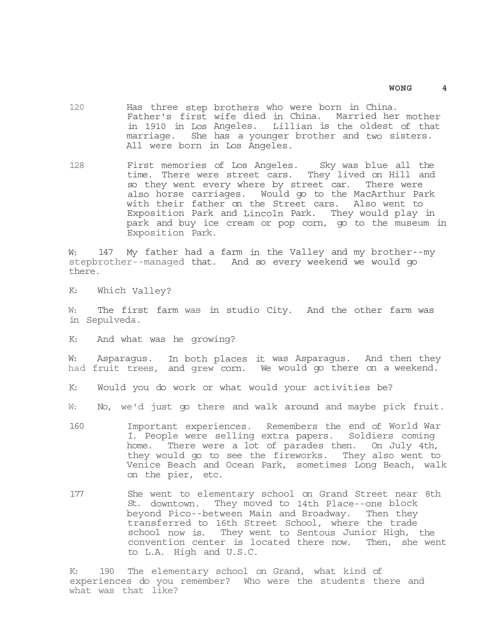- 120 Has three step brothers who were born in China. Father's first wife died in China. Married her mother in 1910 in Los Angeles. Lillian is the oldest of that marriage. She has a younger brother and two sisters. All were born in Los Angeles.
- 128 First memories of Los Angeles. Sky was blue all the time. There were street cars. They lived on Hill and so they went every where by street car. There were also horse carriages. Would go to the MacArthur Park with their father on the Street cars. Also went to Exposition Park and Lincoln Park. They would play in park and buy ice cream or pop corn, go to the museum in Exposition Park.

W: 147 My father had a farm in the Valley and my brother--my stepbrother--managed that. And so every weekend we would go there.

K: Which Valley?

W: The first farm was in studio City. And the other farm was in Sepulveda.

K: And what was he growing?

W: Asparagus. In both places it was Asparagus. And then they had fruit trees, and grew corn. We would go there on a weekend.

K: Would you do work or what would your activities be?

W: No, we'd just go there and walk around and maybe pick fruit.

- 160 Important experiences. Remembers the end of World War I. People were selling extra papers. Soldiers coming home. There were a lot of parades then. On July 4th, they would go to see the fireworks. They also went to Venice Beach and Ocean Park, sometimes Long Beach, walk on the pier, etc.
- 177 She went to elementary school on Grand Street near 8th St. downtown. They moved to 14th Place--one block beyond Pico--between Main and Broadway. Then they transferred to 16th Street School, where the trade school now is. They went to Sentous Junior High, the convention center is located there now. Then, she went to L.A. High and U.S.C.

K: 190 The elementary school on Grand, what kind of experiences do you remember? Who were the students there and what was that like?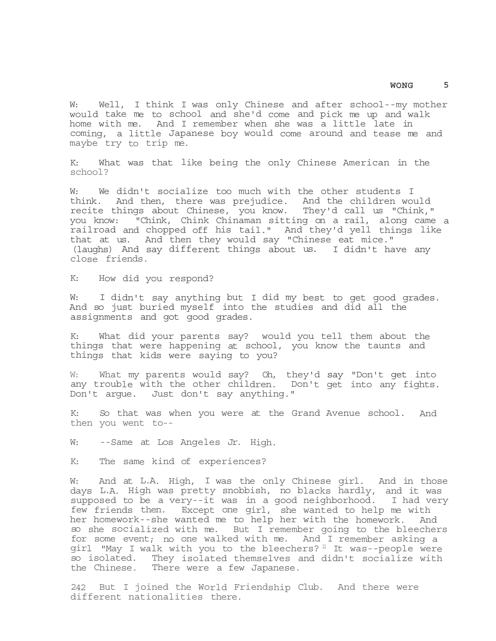W: Well, I think I was only Chinese and after school--my mother would take me to school and she'd come and pick me up and walk home with me. And I remember when she was a little late in coming, a little Japanese boy would come around and tease me and maybe try to trip me.

K: What was that like being the only Chinese American in the school?

W: We didn't socialize too much with the other students I think. And then, there was prejudice. And the children would recite things about Chinese, you know. They'd call us "Chink," you know: "Chink, Chink Chinaman sitting on a rail, along came a railroad and chopped off his tail." And they'd yell things like that at us. And then they would say "Chinese eat mice." (laughs) And say different things about us. I didn't have any close friends.

K: How did you respond?

W: I didn't say anything but I did my best to get good grades. And so just buried myself into the studies and did all the assignments and got good grades.

K: What did your parents say? would you tell them about the things that were happening at school, you know the taunts and things that kids were saying to you?

W: What my parents would say? Oh, they'd say "Don't get into any trouble with the other children. Don't get into any fights. Don't argue. Just don't say anything."

K: So that was when you were at the Grand Avenue school. And then you went to--

W: --Same at Los Angeles Jr. High.

K: The same kind of experiences?

W: And at L.A. High, I was the only Chinese girl. And in those days L.A. High was pretty snobbish, no blacks hardly, and it was supposed to be a very--it was in a good neighborhood. I had very few friends then. Except one girl, she wanted to help me with her homework--she wanted me to help her with the homework. And so she socialized with me. But I remember going to the bleechers for some event; no one walked with me. And I remember asking a girl "May I walk with you to the bleechers?<sup>11</sup> It was--people were so isolated. They isolated themselves and didn't socialize with the Chinese. There were a few Japanese.

242 But I joined the World Friendship Club. And there were different nationalities there.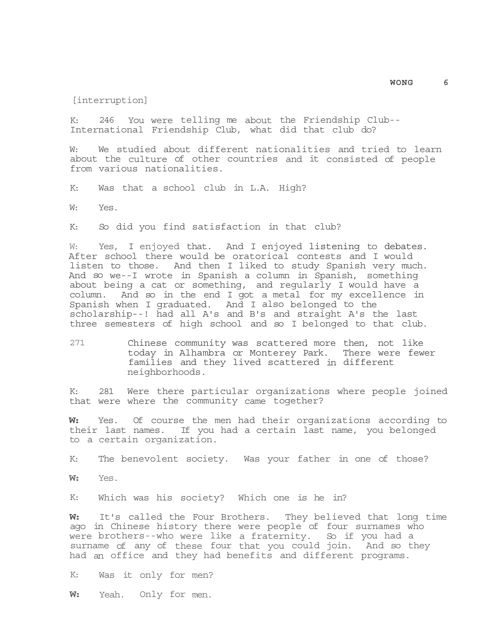[interruption]

K: 246 You were telling me about the Friendship Club-- International Friendship Club, what did that club do?

W: We studied about different nationalities and tried to learn about the culture of other countries and it consisted of people from various nationalities.

K: Was that a school club in L.A. High?

W: Yes.

K: So did you find satisfaction in that club?

W: Yes, I enjoyed that. And I enjoyed listening to debates. After school there would be oratorical contests and I would listen to those. And then I liked to study Spanish very much. And so we--I wrote in Spanish a column in Spanish, something about being a cat or something, and regularly I would have a column. And so in the end I got a metal for my excellence in Spanish when I graduated. And I also belonged to the scholarship--! had all A's and B's and straight A's the last three semesters of high school and so I belonged to that club.

271 Chinese community was scattered more then, not like today in Alhambra or Monterey Park. There were fewer families and they lived scattered in different neighborhoods.

K: 281 Were there particular organizations where people joined that were where the community came together?

**W:** Yes. Of course the men had their organizations according to their last names. If you had a certain last name, you belonged to a certain organization.

K: The benevolent society. Was your father in one of those?

**W:** Yes.

K: Which was his society? Which one is he in?

**W:** It's called the Four Brothers. They believed that long time ago in Chinese history there were people of four surnames who were brothers--who were like a fraternity. So if you had a surname of any of these four that you could join. And so they had an office and they had benefits and different programs.

K: Was it only for men?

**W:** Yeah. Only for men.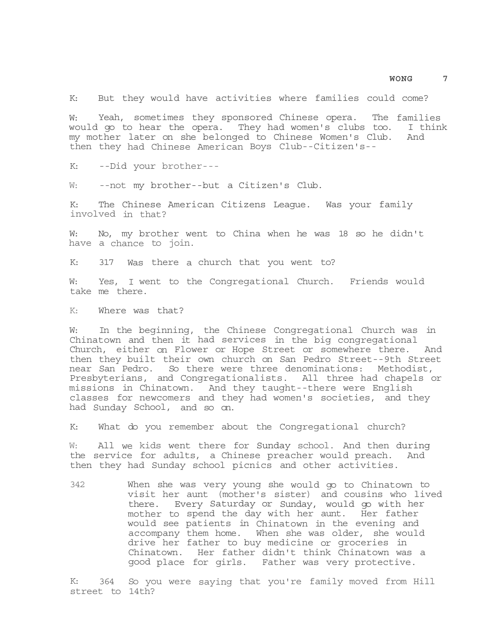K: But they would have activities where families could come?

W: Yeah, sometimes they sponsored Chinese opera. The families would go to hear the opera. They had women's clubs too. I think my mother later on she belonged to Chinese Women's Club. And then they had Chinese American Boys Club--Citizen's--

K: --Did your brother---

W: --not my brother--but a Citizen's Club.

K: The Chinese American Citizens League. Was your family involved in that?

W: No, my brother went to China when he was 18 so he didn't have a chance to join.

K: 317 Was there a church that you went to?

W: Yes, I went to the Congregational Church. Friends would take me there.

K: Where was that?

W: In the beginning, the Chinese Congregational Church was in Chinatown and then it had services in the big congregational Church, either on Flower or Hope Street or somewhere there. And then they built their own church on San Pedro Street--9th Street near San Pedro. So there were three denominations: Methodist, Presbyterians, and Congregationalists. All three had chapels or missions in Chinatown. And they taught--there were English classes for newcomers and they had women's societies, and they had Sunday School, and so on.

K: What do you remember about the Congregational church?

W: All we kids went there for Sunday school. And then during the service for adults, a Chinese preacher would preach. And then they had Sunday school picnics and other activities.

342 When she was very young she would go to Chinatown to visit her aunt (mother's sister) and cousins who lived there. Every Saturday or Sunday, would go with her mother to spend the day with her aunt. Her father would see patients in Chinatown in the evening and accompany them home. When she was older, she would drive her father to buy medicine or groceries in Chinatown. Her father didn't think Chinatown was a good place for girls. Father was very protective.

K: 364 So you were saying that you're family moved from Hill street to 14th?

**WONG 7**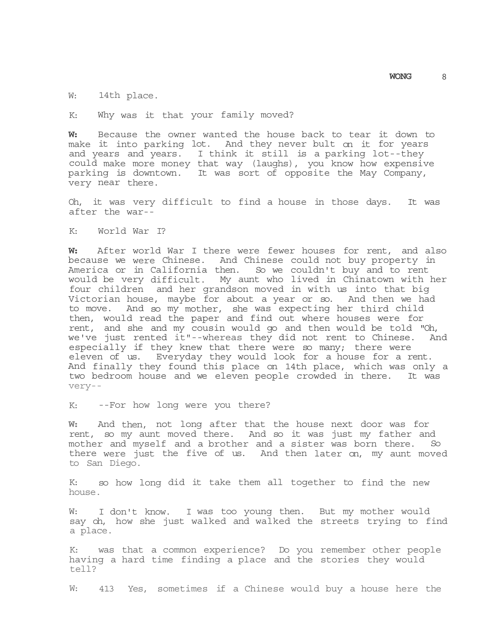W: 14th place.

K: Why was it that your family moved?

**W:** Because the owner wanted the house back to tear it down to make it into parking lot. And they never bult on it for years and years and years. I think it still is a parking lot--they could make more money that way (laughs), you know how expensive parking is downtown. It was sort of opposite the May Company, very near there.

Oh, it was very difficult to find a house in those days. It was after the war--

K: World War I?

**W:** After world War I there were fewer houses for rent, and also because we were Chinese. And Chinese could not buy property in America or in California then. So we couldn't buy and to rent would be very difficult. My aunt who lived in Chinatown with her four children and her grandson moved in with us into that big Victorian house, maybe for about a year or so. And then we had to move. And so my mother, she was expecting her third child then, would read the paper and find out where houses were for rent, and she and my cousin would go and then would be told "Oh, we've just rented it"--whereas they did not rent to Chinese. And especially if they knew that there were so many; there were eleven of us. Everyday they would look for a house for a rent. And finally they found this place on 14th place, which was only a two bedroom house and we eleven people crowded in there. It was very--

K: --For how long were you there?

**W:** And then, not long after that the house next door was for rent, so my aunt moved there. And so it was just my father and mother and myself and a brother and a sister was born there. So there were just the five of us. And then later on, my aunt moved to San Diego.

K: so how long did it take them all together to find the new house.

W: I don't know. I was too young then. But my mother would say oh, how she just walked and walked the streets trying to find a place.

K: was that a common experience? Do you remember other people having a hard time finding a place and the stories they would tell?

W: 413 Yes, sometimes if a Chinese would buy a house here the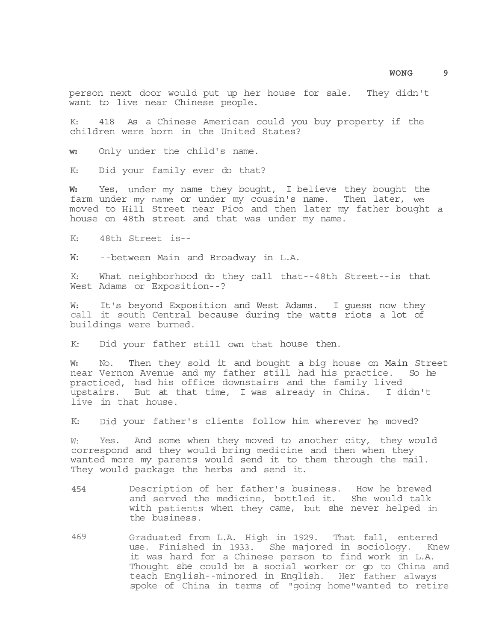person next door would put up her house for sale. They didn't want to live near Chinese people.

K: 418 As a Chinese American could you buy property if the children were born in the United States?

**w:** Only under the child's name.

K: Did your family ever do that?

**W:** Yes, under my name they bought, I believe they bought the farm under my name or under my cousin's name. Then later, we moved to Hill Street near Pico and then later my father bought a house on 48th street and that was under my name.

K: 48th Street is--

W: --between Main and Broadway in L.A.

K: What neighborhood do they call that--48th Street--is that West Adams or Exposition--?

W: It's beyond Exposition and West Adams. I guess now they call it south Central because during the watts riots a lot of buildings were burned.

K: Did your father still own that house then.

**W:** No. Then they sold it and bought a big house on Main Street near Vernon Avenue and my father still had his practice. So he practiced, had his office downstairs and the family lived upstairs. But at that time, I was already in China. I didn't live in that house.

K: Did your father's clients follow him wherever he moved?

W: Yes. And some when they moved to another city, they would correspond and they would bring medicine and then when they wanted more my parents would send it to them through the mail. They would package the herbs and send it.

- **454** Description of her father's business. How he brewed and served the medicine, bottled it. She would talk with patients when they came, but she never helped in the business.
- 469 Graduated from L.A. High in 1929. That fall, entered use. Finished in 1933. She majored in sociology. Knew it was hard for a Chinese person to find work in L.A. Thought she could be a social worker or go to China and teach English--minored in English. Her father always spoke of China in terms of "going home"wanted to retire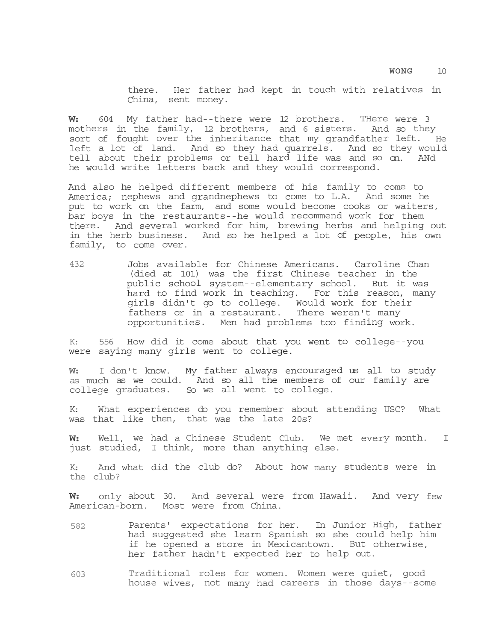there. Her father had kept in touch with relatives in China, sent money.

**W:** 604 My father had--there were 12 brothers. THere were 3 mothers in the family, 12 brothers, and 6 sisters. And so they sort of fought over the inheritance that my grandfather left. He left a lot of land. And so they had quarrels. And so they would tell about their problems or tell hard life was and so on. ANd he would write letters back and they would correspond.

And also he helped different members of his family to come to America; nephews and grandnephews to come to L.A. And some he put to work on the farm, and some would become cooks or waiters, bar boys in the restaurants--he would recommend work for them there. And several worked for him, brewing herbs and helping out in the herb business. And so he helped a lot of people, his own family, to come over.

432 Jobs available for Chinese Americans. Caroline Chan (died at 101) was the first Chinese teacher in the public school system--elementary school. But it was hard to find work in teaching. For this reason, many girls didn't go to college. Would work for their fathers or in a restaurant. There weren't many opportunities. Men had problems too finding work.

K: 556 How did it come about that you went to college--you were saying many girls went to college.

**W:** I don't know. My father always encouraged us all to study as much as we could. And so all the members of our family are college graduates. So we all went to college.

K: What experiences do you remember about attending USC? What was that like then, that was the late 20s?

**W:** Well, we had a Chinese Student Club. We met every month. I just studied, I think, more than anything else.

K: And what did the club do? About how many students were in the club?

**W:** only about 30. And several were from Hawaii. And very few American-born. Most were from China.

- 582 Parents' expectations for her. In Junior High, father had suggested she learn Spanish so she could help him if he opened a store in Mexicantown. But otherwise, her father hadn't expected her to help out.
- 603 Traditional roles for women. Women were quiet, good house wives, not many had careers in those days--some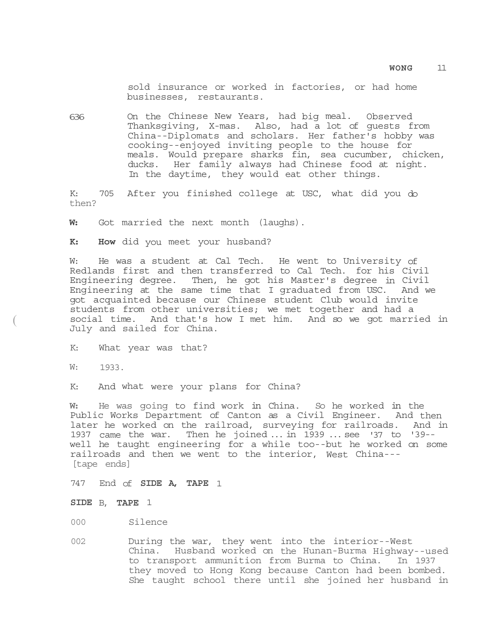sold insurance or worked in factories, or had home businesses, restaurants.

636 On the Chinese New Years, had big meal. Observed Thanksgiving, X-mas. Also, had a lot of guests from China--Diplomats and scholars. Her father's hobby was cooking--enjoyed inviting people to the house for meals. Would prepare sharks fin, sea cucumber, chicken, ducks. Her family always had Chinese food at night. In the daytime, they would eat other things.

K: 705 After you finished college at USC, what did you do then?

**W:** Got married the next month (laughs).

**K: How** did you meet your husband?

W: He was a student at Cal Tech. He went to University of Redlands first and then transferred to Cal Tech. for his Civil Engineering degree. Then, he got his Master's degree in Civil Engineering at the same time that I graduated from USC. And we got acquainted because our Chinese student Club would invite students from other universities; we met together and had a social time. And that's how I met him. And so we got married in July and sailed for China.

K: What year was that?

W: 1933.

 $\left($ 

K: And what were your plans for China?

**W:** He was going to find work in China. So he worked in the Public Works Department of Canton as a Civil Engineer. And then later he worked on the railroad, surveying for railroads. And in 1937 came the war. Then he joined ... in 1939 ... see '37 to '39- well he taught engineering for a while too--but he worked on some railroads and then we went to the interior, West China--- [tape ends]

747 End of **SIDE A, TAPE** 1

### **SIDE** B, **TAPE** 1

000 Silence

002 During the war, they went into the interior--West China. Husband worked on the Hunan-Burma Highway--used to transport ammunition from Burma to China. In 1937 they moved to Hong Kong because Canton had been bombed. She taught school there until she joined her husband in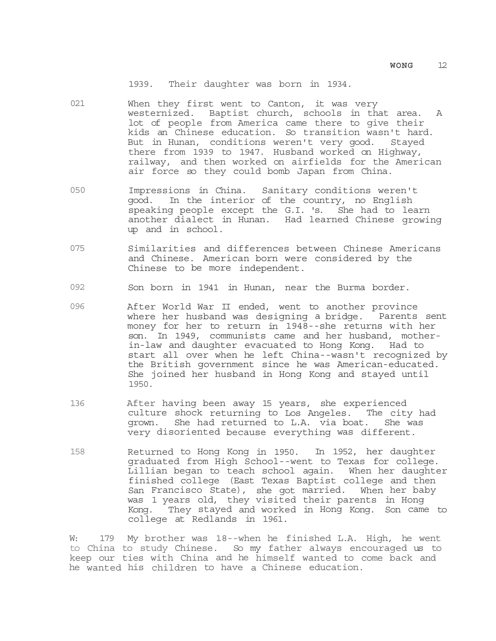1939. Their daughter was born in 1934.

- 021 When they first went to Canton, it was very westernized. Baptist church, schools in that area. A lot of people from America came there to give their kids an Chinese education. So transition wasn't hard. But in Hunan, conditions weren't very good. Stayed there from 1939 to 1947. Husband worked on Highway, railway, and then worked on airfields for the American air force so they could bomb Japan from China.
- 050 Impressions in China. Sanitary conditions weren't good. In the interior of the country, no English speaking people except the G.I. 's. She had to learn another dialect in Hunan. Had learned Chinese growing up and in school.
- 075 Similarities and differences between Chinese Americans and Chinese. American born were considered by the Chinese to be more independent.
- 092 Son born in 1941 in Hunan, near the Burma border.
- 096 After World War II ended, went to another province where her husband was designing a bridge. Parents sent money for her to return in 1948--she returns with her son. In 1949, communists came and her husband, motherin-law and daughter evacuated to Hong Kong. Had to start all over when he left China--wasn't recognized by the British government since he was American-educated. She joined her husband in Hong Kong and stayed until 1950.
- 136 After having been away 15 years, she experienced culture shock returning to Los Angeles. The city had grown. She had returned to L.A. via boat. She was very disoriented because everything was different.
- 158 Returned to Hong Kong in 1950. In 1952, her daughter graduated from High School--went to Texas for college. Lillian began to teach school again. When her daughter finished college (East Texas Baptist college and then San Francisco State), she got married. When her baby was 1 years old, they visited their parents in Hong Kong. They stayed and worked in Hong Kong. Son came to college at Redlands in 1961.

W: 179 My brother was 18--when he finished L.A. High, he went to China to study Chinese. So my father always encouraged us to keep our ties with China and he himself wanted to come back and he wanted his children to have a Chinese education.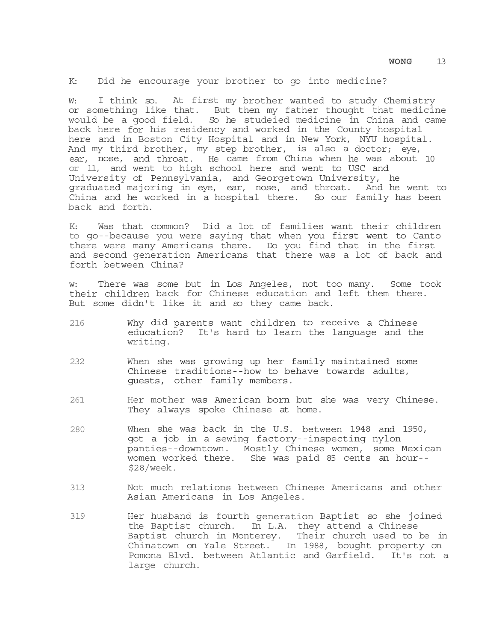K: Did he encourage your brother to go into medicine?

W: I think so. At first my brother wanted to study Chemistry or something like that. But then my father thought that medicine would be a good field. So he studeied medicine in China and came back here for his residency and worked in the County hospital here and in Boston City Hospital and in New York, NYU hospital. And my third brother, my step brother, is also a doctor; eye, ear, nose, and throat. He came from China when he was about 10 or 11, and went to high school here and went to USC and University of Pennsylvania, and Georgetown University, he graduated majoring in eye, ear, nose, and throat. And he went to China and he worked in a hospital there. So our family has been back and forth.

K: Was that common? Did a lot of families want their children to go--because you were saying that when you first went to Canto there were many Americans there. Do you find that in the first and second generation Americans that there was a lot of back and forth between China?

w: There was some but in Los Angeles, not too many. Some took their children back for Chinese education and left them there. But some didn't like it and so they came back.

- 216 Why did parents want children to receive a Chinese education? It's hard to learn the language and the writing.
- 232 When she was growing up her family maintained some Chinese traditions--how to behave towards adults, guests, other family members.
- 261 Her mother was American born but she was very Chinese. They always spoke Chinese at home.
- 280 When she was back in the U.S. between 1948 and 1950, got a job in a sewing factory--inspecting nylon panties--downtown. Mostly Chinese women, some Mexican women worked there. She was paid 85 cents an hour-- \$28/week.
- 313 Not much relations between Chinese Americans and other Asian Americans in Los Angeles.
- 319 Her husband is fourth generation Baptist so she joined the Baptist church. In L.A. they attend a Chinese Baptist church in Monterey. Their church used to be in Chinatown on Yale Street. In 1988, bought property on Pomona Blvd. between Atlantic and Garfield. It's not a large church.

**WONG** 13